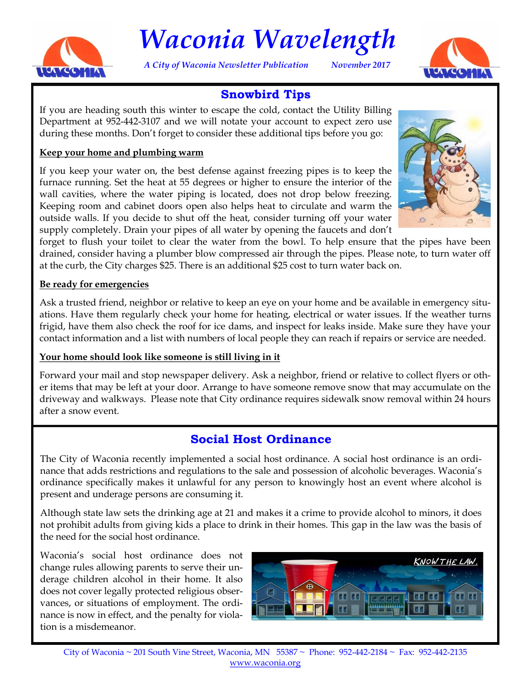

# *Waconia Wavelength*

*A City of Waconia Newsletter Publication November 2017*



## **Snowbird Tips**

If you are heading south this winter to escape the cold, contact the Utility Billing Department at 952-442-3107 and we will notate your account to expect zero use during these months. Don't forget to consider these additional tips before you go:

#### **Keep your home and plumbing warm**

If you keep your water on, the best defense against freezing pipes is to keep the furnace running. Set the heat at 55 degrees or higher to ensure the interior of the wall cavities, where the water piping is located, does not drop below freezing. Keeping room and cabinet doors open also helps heat to circulate and warm the outside walls. If you decide to shut off the heat, consider turning off your water supply completely. Drain your pipes of all water by opening the faucets and don't



forget to flush your toilet to clear the water from the bowl. To help ensure that the pipes have been drained, consider having a plumber blow compressed air through the pipes. Please note, to turn water off at the curb, the City charges \$25. There is an additional \$25 cost to turn water back on.

#### **Be ready for emergencies**

Ask a trusted friend, neighbor or relative to keep an eye on your home and be available in emergency situations. Have them regularly check your home for heating, electrical or water issues. If the weather turns frigid, have them also check the roof for ice dams, and inspect for leaks inside. Make sure they have your contact information and a list with numbers of local people they can reach if repairs or service are needed.

#### **Your home should look like someone is still living in it**

Forward your mail and stop newspaper delivery. Ask a neighbor, friend or relative to collect flyers or other items that may be left at your door. Arrange to have someone remove snow that may accumulate on the driveway and walkways. Please note that City ordinance requires sidewalk snow removal within 24 hours after a snow event.

## **Social Host Ordinance**

The City of Waconia recently implemented a social host ordinance. A social host ordinance is an ordinance that adds restrictions and regulations to the sale and possession of alcoholic beverages. Waconia's ordinance specifically makes it unlawful for any person to knowingly host an event where alcohol is present and underage persons are consuming it.

Although state law sets the drinking age at 21 and makes it a crime to provide alcohol to minors, it does not prohibit adults from giving kids a place to drink in their homes. This gap in the law was the basis of the need for the social host ordinance.

Waconia's social host ordinance does not change rules allowing parents to serve their underage children alcohol in their home. It also does not cover legally protected religious observances, or situations of employment. The ordinance is now in effect, and the penalty for violation is a misdemeanor.